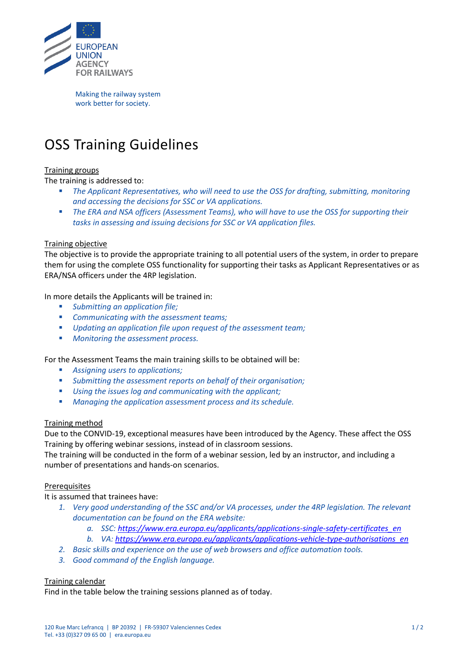

<span id="page-0-0"></span>Making the railway system work better for society.

# OSS Training Guidelines

# Training groups

The training is addressed to:

- The Applicant Representatives, who will need to use the OSS for drafting, submitting, monitoring *and accessing the decisions for SSC or VA applications.*
- The ERA and NSA officers (Assessment Teams), who will have to use the OSS for supporting their *tasks in assessing and issuing decisions for SSC or VA application files.*

## Training objective

The objective is to provide the appropriate training to all potential users of the system, in order to prepare them for using the complete OSS functionality for supporting their tasks as Applicant Representatives or as ERA/NSA officers under the 4RP legislation.

In more details the Applicants will be trained in:

- *Submitting an application file;*
- *Communicating with the assessment teams;*
- *Updating an application file upon request of the assessment team;*
- *Monitoring the assessment process.*

For the Assessment Teams the main training skills to be obtained will be:

- *Assigning users to applications;*
- *Submitting the assessment reports on behalf of their organisation;*
- *Using the issues log and communicating with the applicant;*
- *Managing the application assessment process and its schedule.*

## Training method

Due to the CONVID-19, exceptional measures have been introduced by the Agency. These affect the OSS Training by offering webinar sessions, instead of in classroom sessions.

The training will be conducted in the form of a webinar session, led by an instructor, and including a number of presentations and hands-on scenarios.

#### **Prerequisites**

It is assumed that trainees have:

- *1. Very good understanding of the SSC and/or VA processes, under the 4RP legislation. The relevant documentation can be found on the ERA website:*
	- *a. SSC: [https://www.era.europa.eu/applicants/applications-single-safety-certificates\\_en](https://www.era.europa.eu/applicants/applications-single-safety-certificates_en)*
	- *b. VA[: https://www.era.europa.eu/applicants/applications-vehicle-type-authorisations\\_en](https://www.era.europa.eu/applicants/applications-vehicle-type-authorisations_en)*
- *2. Basic skills and experience on the use of web browsers and office automation tools.*
- *3. Good command of the English language.*

## Training calendar

Find in the table below the training sessions planned as of today.